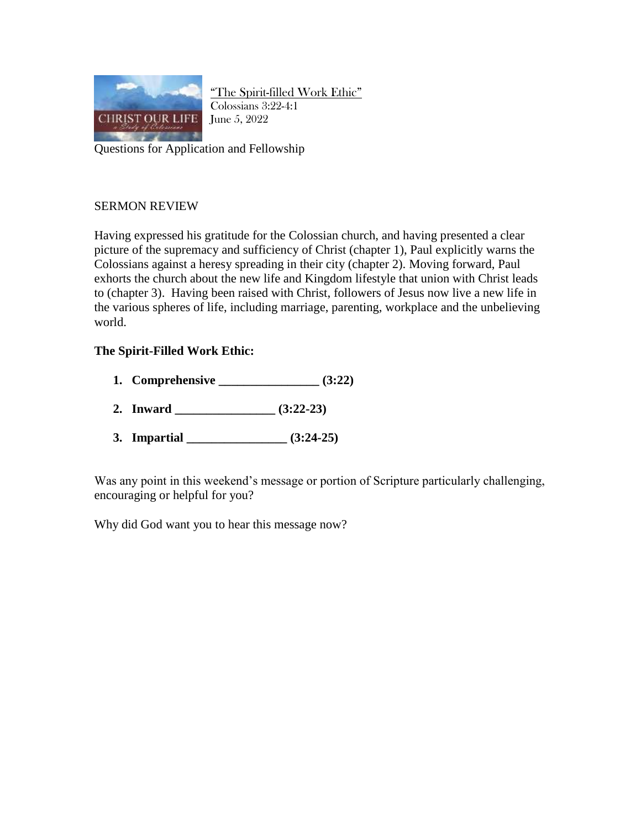

"The Spirit-filled Work Ethic" Colossians 3:22-4:1 June 5, 2022

Questions for Application and Fellowship

## SERMON REVIEW

Having expressed his gratitude for the Colossian church, and having presented a clear picture of the supremacy and sufficiency of Christ (chapter 1), Paul explicitly warns the Colossians against a heresy spreading in their city (chapter 2). Moving forward, Paul exhorts the church about the new life and Kingdom lifestyle that union with Christ leads to (chapter 3). Having been raised with Christ, followers of Jesus now live a new life in the various spheres of life, including marriage, parenting, workplace and the unbelieving world.

## **The Spirit-Filled Work Ethic:**

- **1. Comprehensive \_\_\_\_\_\_\_\_\_\_\_\_\_\_\_\_ (3:22)**
- **2. Inward \_\_\_\_\_\_\_\_\_\_\_\_\_\_\_\_ (3:22-23)**
- **3. Impartial \_\_\_\_\_\_\_\_\_\_\_\_\_\_\_\_ (3:24-25)**

Was any point in this weekend's message or portion of Scripture particularly challenging, encouraging or helpful for you?

Why did God want you to hear this message now?